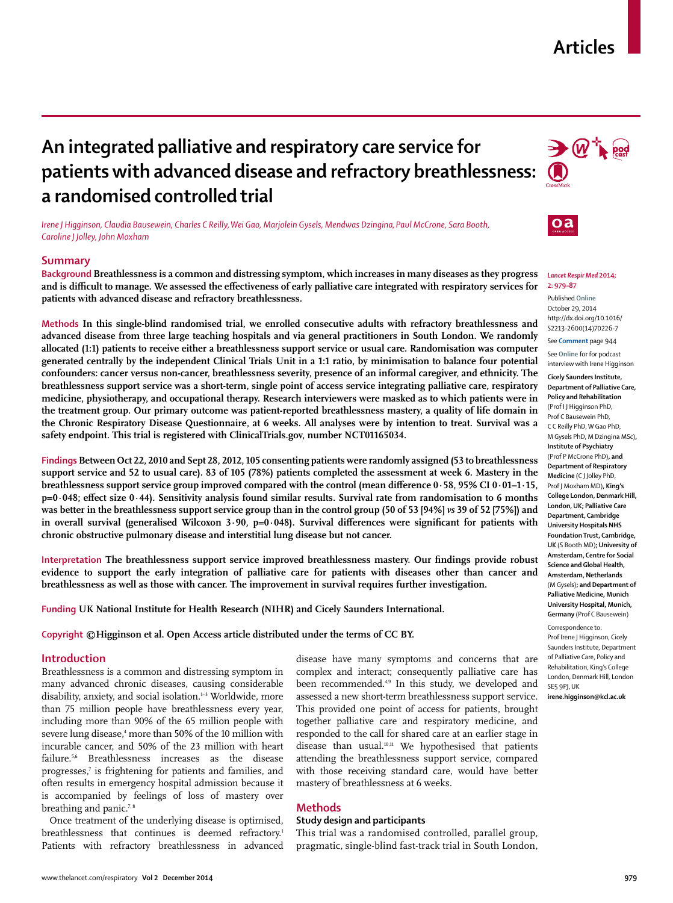# **Articles**

# **An integrated palliative and respiratory care service for patients with advanced disease and refractory breathlessness: a randomised controlled trial**

*Irene J Higginson, Claudia Bausewein, Charles C Reilly,Wei Gao, Marjolein Gysels, Mendwas Dzingina,Paul McCrone, Sara Booth, Caroline J Jolley, John Moxham* 

# **Summary**

**Background Breathlessness is a common and distressing symptom, which increases in many diseases as they progress**  and is difficult to manage. We assessed the effectiveness of early palliative care integrated with respiratory services for **patients with advanced disease and refractory breathlessness.**

**Methods In this single-blind randomised trial, we enrolled consecutive adults with refractory breathlessness and advanced disease from three large teaching hospitals and via general practitioners in South London. We randomly allocated (1:1) patients to receive either a breathlessness support service or usual care. Randomisation was computer generated centrally by the independent Clinical Trials Unit in a 1:1 ratio, by minimisation to balance four potential confounders: cancer versus non-cancer, breathlessness severity, presence of an informal caregiver, and ethnicity. The breathlessness support service was a short-term, single point of access service integrating palliative care, respiratory medicine, physiotherapy, and occupational therapy. Research interviewers were masked as to which patients were in the treatment group. Our primary outcome was patient-reported breathlessness mastery, a quality of life domain in the Chronic Respiratory Disease Questionnaire, at 6 weeks. All analyses were by intention to treat. Survival was a safety endpoint. This trial is registered with ClinicalTrials.gov, number NCT01165034.**

**Findings Between Oct 22, 2010 and Sept 28, 2012, 105 consenting patients were randomly assigned (53 to breathlessness support service and 52 to usual care). 83 of 105 (78%) patients completed the assessment at week 6. Mastery in the breathlessness support service group improved compared with the control (mean difference 0⋅58, 95% CI 0⋅01-1⋅15, p=0⋅048; effect size 0⋅44). Sensitivity analysis found similar results. Survival rate from randomisation to 6 months was better in the breathlessness support service group than in the control group (50 of 53 [94%]** *vs* **39 of 52 [75%]) and**  in overall survival (generalised Wilcoxon 3·90, p=0⋅048). Survival differences were significant for patients with **chronic obstructive pulmonary disease and interstitial lung disease but not cancer.** 

**Interpretation The breathlessness support service improved breathlessness mastery. Our findings provide robust evidence to support the early integration of palliative care for patients with diseases other than cancer and breathlessness as well as those with cancer. The improvement in survival requires further investigation.**

**Funding UK National Institute for Health Research (NIHR) and Cicely Saunders International.**

**Copyright ©Higginson et al. Open Access article distributed under the terms of CC BY.**

# **Introduction**

Breathlessness is a common and distressing symptom in many advanced chronic diseases, causing considerable disability, anxiety, and social isolation.<sup>1-3</sup> Worldwide, more than 75 million people have breathlessness every year, including more than 90% of the 65 million people with severe lung disease, $^{\textrm{\tiny{4}}}$  more than 50% of the 10 million with incurable cancer, and 50% of the 23 million with heart failure.5,6 Breathlessness increases as the disease progresses,7 is frightening for patients and families, and often results in emergency hospital admission because it is accompanied by feelings of loss of mastery over breathing and panic.<sup>7,8</sup>

Once treatment of the underlying disease is optimised, breathlessness that continues is deemed refractory.<sup>1</sup> Patients with refractory breathlessness in advanced disease have many symptoms and concerns that are complex and interact; consequently palliative care has been recommended.<sup>4,9</sup> In this study, we developed and assessed a new short-term breathlessness support service. This provided one point of access for patients, brought together palliative care and respiratory medicine, and responded to the call for shared care at an earlier stage in disease than usual.<sup>10,11</sup> We hypothesised that patients attending the breathlessness support service, compared with those receiving standard care, would have better mastery of breathlessness at 6 weeks.

# **Methods**

## **Study design and participants**

This trial was a randomised controlled, parallel group, pragmatic, single-blind fast-track trial in South London,





#### *Lancet Respir Med* **2014; 2: 979–87**

Published **Online** October 29, 2014 http://dx.doi.org/10.1016/ S2213-2600(14)70226-7

See **Comment** page 944

See **Online** for for podcast interview with Irene Higginson

**Cicely Saunders Institute, Department of Palliative Care, Policy and Rehabilitation** (Prof I J Higginson PhD, Prof C Bausewein PhD, C C Reilly PhD, W Gao PhD, M Gysels PhD, M Dzingina MSc)**, Institute of Psychiatry**  (Prof P McCrone PhD)**, and Department of Respiratory Medicine** (C J Jolley PhD, Prof J Moxham MD)**, King's College London, Denmark Hill, London, UK; Palliative Care Department, Cambridge University Hospitals NHS Foundation Trust, Cambridge, UK** (S Booth MD)**; University of Amsterdam, Centre for Social Science and Global Health, Amsterdam, Netherlands** (M Gysels)**; and Department of Palliative Medicine, Munich University Hospital, Munich, Germany** (Prof C Bausewein)

Correspondence to: Prof Irene J Higginson, Cicely Saunders Institute, Department of Palliative Care, Policy and Rehabilitation, King's College London, Denmark Hill, London SE5 9PJ, UK **irene.higginson@kcl.ac.uk**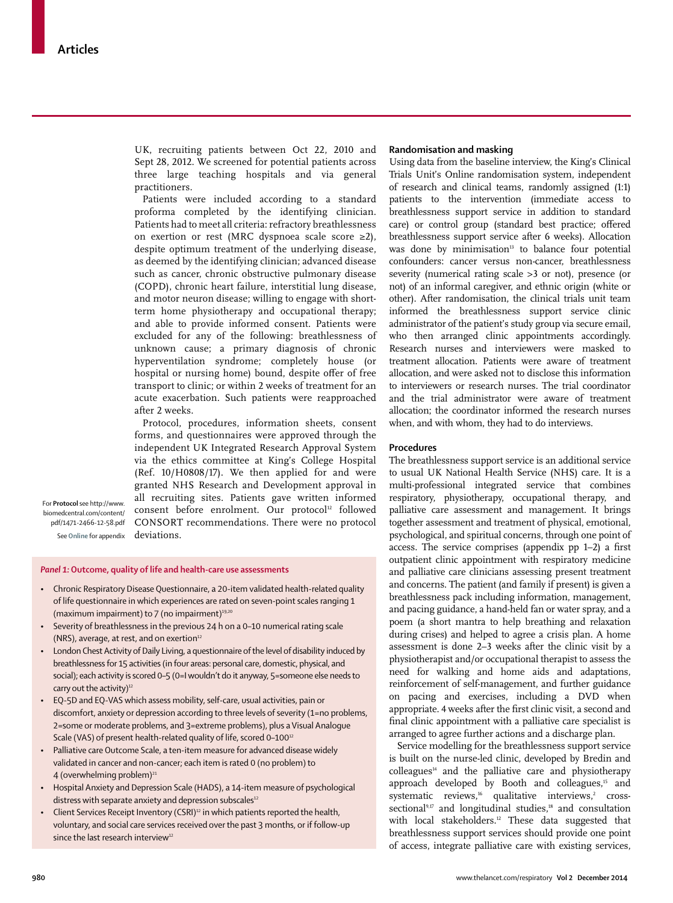UK, recruiting patients between Oct 22, 2010 and Sept 28, 2012. We screened for potential patients across three large teaching hospitals and via general practitioners.

Patients were included according to a standard proforma completed by the identifying clinician. Patients had to meet all criteria: refractory breathlessness on exertion or rest (MRC dyspnoea scale score ≥2), despite optimum treatment of the underlying disease, as deemed by the identifying clinician; advanced disease such as cancer, chronic obstructive pulmonary disease (COPD), chronic heart failure, interstitial lung disease, and motor neuron disease; willing to engage with shortterm home physiotherapy and occupational therapy; and able to provide informed consent. Patients were excluded for any of the following: breathlessness of unknown cause; a primary diagnosis of chronic hyperventilation syndrome; completely house (or hospital or nursing home) bound, despite offer of free transport to clinic; or within 2 weeks of treatment for an acute exacerbation. Such patients were reapproached after 2 weeks.

Protocol, procedures, information sheets, consent forms, and questionnaires were approved through the inde pendent UK Integrated Research Approval System via the ethics committee at King's College Hospital (Ref. 10/H0808/17). We then applied for and were granted NHS Research and Development approval in all recruiting sites. Patients gave written informed consent before enrolment. Our protocol<sup>12</sup> followed CONSORT recommendations. There were no protocol deviations.

For **Protocol** see http://www. biomedcentral.com/content/ pdf/1471-2466-12-58.pdf See **Online** for appendix

## *Panel 1:* **Outcome, quality of life and health-care use assessments**

- Chronic Respiratory Disease Questionnaire, a 20-item validated health-related quality of life questionnaire in which experiences are rated on seven-point scales ranging 1 (maximum impairment) to 7 (no impairment) $19,20$
- Severity of breathlessness in the previous 24 h on a 0–10 numerical rating scale (NRS), average, at rest, and on exertion $12$
- London Chest Activity of Daily Living, a questionnaire of the level of disability induced by breathlessness for 15 activities (in four areas: personal care, domestic, physical, and social); each activity is scored 0–5 (0=I wouldn't do it anyway, 5=someone else needs to carry out the activity)<sup>12</sup>
- EQ-5D and EQ-VAS which assess mobility, self-care, usual activities, pain or discomfort, anxiety or depression according to three levels of severity (1=no problems, 2=some or moderate problems, and 3=extreme problems), plus a Visual Analogue Scale (VAS) of present health-related quality of life, scored 0-100<sup>12</sup>
- Palliative care Outcome Scale, a ten-item measure for advanced disease widely validated in cancer and non-cancer; each item is rated 0 (no problem) to 4 (overwhelming problem) $^{21}$
- Hospital Anxiety and Depression Scale (HADS), a 14-item measure of psychological distress with separate anxiety and depression subscales $^{12}$
- Client Services Receipt Inventory (CSRI)<sup>12</sup> in which patients reported the health, voluntary, and social care services received over the past 3 months, or if follow-up since the last research interview<sup>12</sup>

## **Randomisation and masking**

Using data from the baseline interview, the King's Clinical Trials Unit's Online randomisation system, independent of research and clinical teams, randomly assigned (1:1) patients to the intervention (immediate access to breathlessness support service in addition to standard care) or control group (standard best practice; offered breathlessness support service after 6 weeks). Allocation was done by minimisation<sup>13</sup> to balance four potential confounders: cancer versus non-cancer, breathlessness severity (numerical rating scale >3 or not), presence (or not) of an informal caregiver, and ethnic origin (white or other). After randomisation, the clinical trials unit team informed the breathlessness support service clinic administrator of the patient's study group via secure email, who then arranged clinic appointments accordingly. Research nurses and interviewers were masked to treatment allocation. Patients were aware of treatment allocation, and were asked not to disclose this information to interviewers or research nurses. The trial coordinator and the trial administrator were aware of treatment allocation; the coordinator informed the research nurses when, and with whom, they had to do interviews.

#### **Procedures**

The breathlessness support service is an additional service to usual UK National Health Service (NHS) care. It is a multi-professional integrated service that combines respiratory, physiotherapy, occupational therapy, and palliative care assessment and management. It brings together assessment and treatment of physical, emotional, psychological, and spiritual concerns, through one point of access. The service comprises (appendix  $pp$  1–2) a first outpatient clinic appointment with respiratory medicine and palliative care clinicians assessing present treatment and concerns. The patient (and family if present) is given a breathlessness pack including information, management, and pacing guidance, a hand-held fan or water spray, and a poem (a short mantra to help breathing and relaxation during crises) and helped to agree a crisis plan. A home assessment is done 2–3 weeks after the clinic visit by a physiotherapist and/or occupational therapist to assess the need for walking and home aids and adaptations, reinforcement of self-management, and further guidance on pacing and exercises, including a DVD when appropriate. 4 weeks after the first clinic visit, a second and final clinic appointment with a palliative care specialist is arranged to agree further actions and a discharge plan.

Service modelling for the breathlessness support service is built on the nurse-led clinic, developed by Bredin and  $colleagues<sup>14</sup>$  and the palliative care and physiotherapy approach developed by Booth and colleagues,<sup>15</sup> and systematic reviews,<sup>16</sup> qualitative interviews,<sup>2</sup> crosssectional<sup>9,17</sup> and longitudinal studies,<sup>18</sup> and consultation with local stakeholders.<sup>12</sup> These data suggested that breathlessness support services should provide one point of access, integrate palliative care with existing services,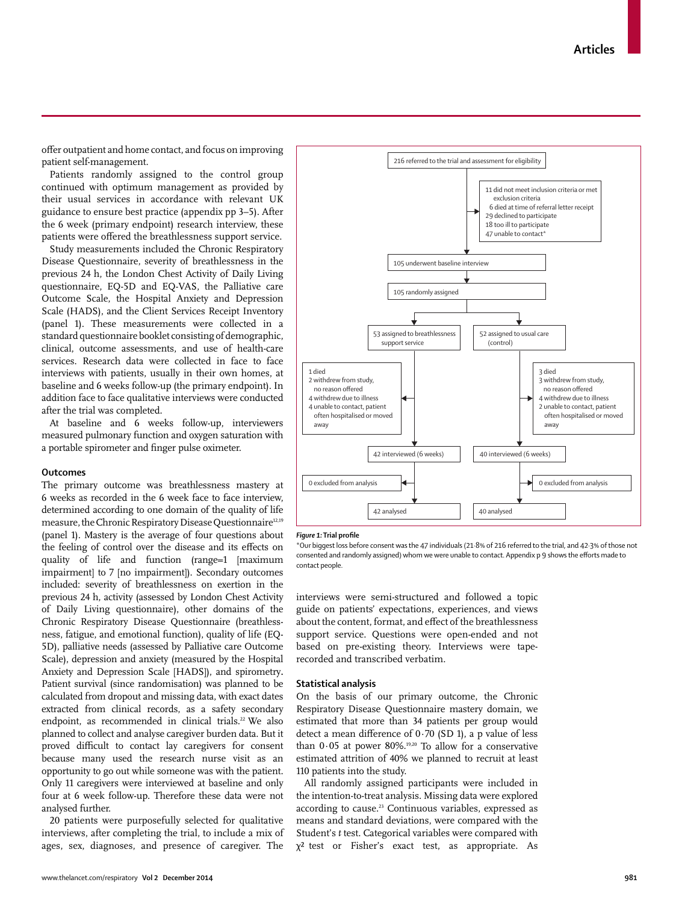offer outpatient and home contact, and focus on improving patient self-management.

Patients randomly assigned to the control group continued with optimum management as provided by their usual services in accordance with relevant UK guidance to ensure best practice (appendix pp 3–5). After the 6 week (primary endpoint) research interview, these patients were offered the breathlessness support service.

Study measurements included the Chronic Respiratory Disease Questionnaire, severity of breathlessness in the previous 24 h, the London Chest Activity of Daily Living questionnaire, EQ-5D and EQ-VAS, the Palliative care Outcome Scale, the Hospital Anxiety and Depression Scale (HADS), and the Client Services Receipt Inventory (panel 1). These measurements were collected in a standard questionnaire booklet consisting of demographic, clinical, outcome assessments, and use of health-care services. Research data were collected in face to face interviews with patients, usually in their own homes, at baseline and 6 weeks follow-up (the primary endpoint). In addition face to face qualitative interviews were conducted after the trial was completed.

At baseline and 6 weeks follow-up, interviewers measured pulmonary function and oxygen saturation with a portable spirometer and finger pulse oximeter.

## **Outcomes**

The primary outcome was breathlessness mastery at 6 weeks as recorded in the 6 week face to face interview, determined according to one domain of the quality of life measure, the Chronic Respiratory Disease Questionnaire<sup>12,19</sup> (panel 1). Mastery is the average of four questions about the feeling of control over the disease and its effects on quality of life and function (range=1 [maximum impairment] to 7 [no impairment]). Secondary outcomes included: severity of breathlessness on exertion in the previous 24 h, activity (assessed by London Chest Activity of Daily Living questionnaire), other domains of the Chronic Respiratory Disease Questionnaire (breathlessness, fatigue, and emotional function), quality of life (EQ-5D), palliative needs (assessed by Palliative care Outcome Scale), depression and anxiety (measured by the Hospital Anxiety and Depression Scale [HADS]), and spirometry**.** Patient survival (since randomisation) was planned to be calculated from dropout and missing data, with exact dates extracted from clinical records, as a safety secondary endpoint, as recommended in clinical trials.<sup>22</sup> We also planned to collect and analyse caregiver burden data. But it proved difficult to contact lay caregivers for consent because many used the research nurse visit as an opportunity to go out while someone was with the patient. Only 11 caregivers were interviewed at baseline and only four at 6 week follow-up. Therefore these data were not analysed further.

20 patients were purposefully selected for qualitative interviews, after completing the trial, to include a mix of ages, sex, diagnoses, and presence of caregiver. The



216 referred to the trial and assessment for eligibility

#### **Figure 1:** Trial profile

\*Our biggest loss before consent was the 47 individuals (21·8% of 216 referred to the trial, and 42·3% of those not consented and randomly assigned) whom we were unable to contact. Appendix p 9 shows the efforts made to contact people.

interviews were semi-structured and followed a topic guide on patients' expectations, experiences, and views about the content, format, and effect of the breathlessness support service. Questions were open-ended and not based on pre-existing theory. Interviews were taperecorded and transcribed verbatim.

## **Statistical analysis**

On the basis of our primary outcome, the Chronic Respiratory Disease Questionnaire mastery domain, we estimated that more than 34 patients per group would detect a mean difference of 0∙70 (SD 1), a p value of less than 0∙05 at power 80%.19,20 To allow for a conservative estimated attrition of 40% we planned to recruit at least 110 patients into the study.

All randomly assigned participants were included in the intention-to-treat analysis. Missing data were explored according to cause.<sup>23</sup> Continuous variables, expressed as means and standard deviations, were compared with the Student's *t* test. Categorical variables were compared with χ² test or Fisher's exact test, as appropriate. As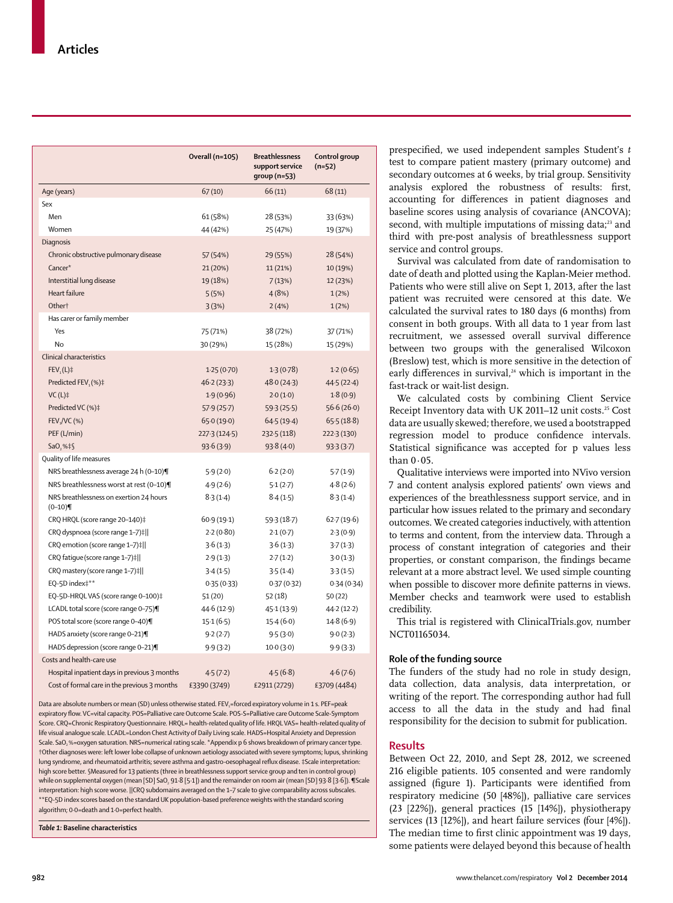|                                                     | Overall (n=105) | <b>Breathlessness</b><br>support service<br>group (n=53) | Control group<br>$(n=52)$ |
|-----------------------------------------------------|-----------------|----------------------------------------------------------|---------------------------|
| Age (years)                                         | 67(10)          | 66(11)                                                   | 68(11)                    |
| Sex                                                 |                 |                                                          |                           |
| Men                                                 | 61 (58%)        | 28 (53%)                                                 | 33 (63%)                  |
| Women                                               | 44 (42%)        | 25 (47%)                                                 | 19 (37%)                  |
| Diagnosis                                           |                 |                                                          |                           |
| Chronic obstructive pulmonary disease               | 57 (54%)        | 29 (55%)                                                 | 28 (54%)                  |
| Cancer*                                             | 21 (20%)        | 11 (21%)                                                 | 10 (19%)                  |
| Interstitial lung disease                           | 19 (18%)        | 7(13%)                                                   | 12 (23%)                  |
| <b>Heart failure</b>                                | 5(5%)           | 4(8%)                                                    | 1(2%)                     |
| Other <sup>+</sup>                                  | 3(3%)           | 2(4%)                                                    | 1(2%)                     |
| Has carer or family member                          |                 |                                                          |                           |
| Yes                                                 | 75 (71%)        | 38 (72%)                                                 | 37 (71%)                  |
| <b>No</b>                                           | 30 (29%)        | 15 (28%)                                                 | 15 (29%)                  |
| Clinical characteristics                            |                 |                                                          |                           |
| $FEV1(L)$ #                                         | 1.25(0.70)      | 1.3(0.78)                                                | 1.2(0.65)                 |
| Predicted FEV <sub>1</sub> (%)‡                     | 46.2(23.3)      | 48.0(24.3)                                               | 44.5(22.4)                |
| $VC(L)$ ‡                                           | 1.9(0.96)       | 2.0(1.0)                                                 | 1.8(0.9)                  |
| Predicted VC (%)‡                                   | 57.9(25.7)      | 59.3(25.5)                                               | 56.6(26.0)                |
| <b>FEV,/VC(%)</b>                                   | 65.0(19.0)      | 64.5(19.4)                                               | 65.5(18.8)                |
| PEF (L/min)                                         | 227.3 (124.5)   | 232.5 (118)                                              | 222.3 (130)               |
| $SaO2%\ddagger\$                                    | 93.6(3.9)       | 93.8(4.0)                                                | 93.3(3.7)                 |
| Quality of life measures                            |                 |                                                          |                           |
| NRS breathlessness average 24 h (0-10)¶             | 5.9(2.0)        | 6.2(2.0)                                                 | 5.7(1.9)                  |
| NRS breathlessness worst at rest (0-10)¶            | 4.9(2.6)        | 5.1(2.7)                                                 | 4.8(2.6)                  |
| NRS breathlessness on exertion 24 hours<br>$(0-10)$ | 8.3(1.4)        | 8.4(1.5)                                                 | $8-3(1-4)$                |
| CRQ HRQL (score range 20-140)‡                      | 60.9(19.1)      | 59.3 (18.7)                                              | 62.7 (19.6)               |
| CRQ dyspnoea (score range 1-7) #                    | 2.2(0.80)       | 2.1(0.7)                                                 | 2.3(0.9)                  |
| CRQ emotion (score range 1-7)#                      | 3.6(1.3)        | 3.6(1.3)                                                 | 3.7(1.3)                  |
| CRQ fatique (score range 1-7) ‡                     | 2.9(1.3)        | 2.7(1.2)                                                 | 3.0(1.3)                  |
| CRQ mastery (score range 1-7) #                     | 3.4(1.5)        | 3.5(1.4)                                                 | 3.3(1.5)                  |
| EQ-5D index‡**                                      | 0.35(0.33)      | 0.37(0.32)                                               | 0.34(0.34)                |
| EQ-5D-HRQL VAS (score range 0-100)‡                 | 51(20)          | 52 (18)                                                  | 50(22)                    |
| LCADL total score (score range 0-75)¶               | 44.6 (12.9)     | 45.1(13.9)                                               | 44.2 (12.2)               |
| POS total score (score range 0-40)¶                 | 15.1(6.5)       | 15.4(6.0)                                                | 14.8(6.9)                 |
| HADS anxiety (score range 0-21)¶                    | 9.2(2.7)        | 9.5(3.0)                                                 | 9.0(2.3)                  |
| HADS depression (score range 0-21)¶                 | 9.9(3.2)        | 10.0(3.0)                                                | 9.9(3.3)                  |
| Costs and health-care use                           |                 |                                                          |                           |
| Hospital inpatient days in previous 3 months        | 4.5(7.2)        | 4.5(6.8)                                                 | 4.6(7.6)                  |
| Cost of formal care in the previous 3 months        | £3390 (3749)    | £2911 (2729)                                             | £3709 (4484)              |

Data are absolute numbers or mean (SD) unless otherwise stated. FEV,=forced expiratory volume in 1 s. PEF=peak expiratory flow. VC=vital capacity. POS=Palliative care Outcome Scale. POS-S=Palliative care Outcome Scale-Symptom Score. CRQ=Chronic Respiratory Questionnaire. HRQL= health-related quality of life. HRQL VAS= health-related quality of life visual analogue scale. LCADL=London Chest Activity of Daily Living scale. HADS=Hospital Anxiety and Depression Scale. SaO<sub>2</sub> %=oxygen saturation. NRS=numerical rating scale. \*Appendix p 6 shows breakdown of primary cancer type †Other diagnoses were: left lower lobe collapse of unknown aetiology associated with severe symptoms; lupus, shrinking lung syndrome, and rheumatoid arthritis; severe asthma and gastro-oesophageal reflux disease. ‡Scale interpretation: high score better. §Measured for 13 patients (three in breathlessness support service group and ten in control group) while on supplemental oxygen (mean [SD] SaO<sub>2</sub> 91-8 [5-1]) and the remainder on room air (mean [SD] 93-8 [3-6]). ¶Scale interpretation: high score worse. ||CRQ subdomains averaged on the 1–7 scale to give comparability across subscales. \*\*EQ-5D index scores based on the standard UK population-based preference weights with the standard scoring algorithm; 0·0=death and 1·0=perfect health.

*Table 1:* **Baseline characteristics**

prespecified, we used independent samples Student's t test to compare patient mastery (primary outcome) and secondary outcomes at 6 weeks, by trial group. Sensitivity analysis explored the robustness of results: first, accounting for differences in patient diagnoses and baseline scores using analysis of covariance (ANCOVA); second, with multiple imputations of missing data;<sup>23</sup> and third with pre-post analysis of breathlessness support service and control groups.

Survival was calculated from date of randomisation to date of death and plotted using the Kaplan-Meier method. Patients who were still alive on Sept 1, 2013, after the last patient was recruited were censored at this date. We calculated the survival rates to 180 days (6 months) from consent in both groups. With all data to 1 year from last recruitment, we assessed overall survival difference between two groups with the generalised Wilcoxon (Breslow) test, which is more sensitive in the detection of early differences in survival,<sup>24</sup> which is important in the fast-track or wait-list design.

We calculated costs by combining Client Service Receipt Inventory data with UK 2011-12 unit costs.<sup>25</sup> Cost data are usually skewed; therefore, we used a bootstrapped regression model to produce confidence intervals. Statistical significance was accepted for p values less than 0∙05.

Qualitative interviews were imported into NVivo version 7 and content analysis explored patients' own views and experiences of the breathlessness support service, and in particular how issues related to the primary and secondary outcomes. We created categories inductively, with attention to terms and content, from the interview data. Through a process of constant integration of categories and their properties, or constant comparison, the findings became relevant at a more abstract level. We used simple counting when possible to discover more definite patterns in views. Member checks and teamwork were used to establish credibility.

This trial is registered with ClinicalTrials.gov, number NCT01165034.

# **Role of the funding source**

The funders of the study had no role in study design, data collection, data analysis, data interpretation, or writing of the report. The corresponding author had full access to all the data in the study and had final responsibility for the decision to submit for publication.

# **Results**

Between Oct 22, 2010, and Sept 28, 2012, we screened 216 eligible patients. 105 consented and were randomly assigned (figure 1). Participants were identified from respiratory medicine (50 [48%]), palliative care services (23 [22%]), general practices (15 [14%]), physiotherapy services (13 [12%]), and heart failure services (four [4%]). The median time to first clinic appointment was 19 days, some patients were delayed beyond this because of health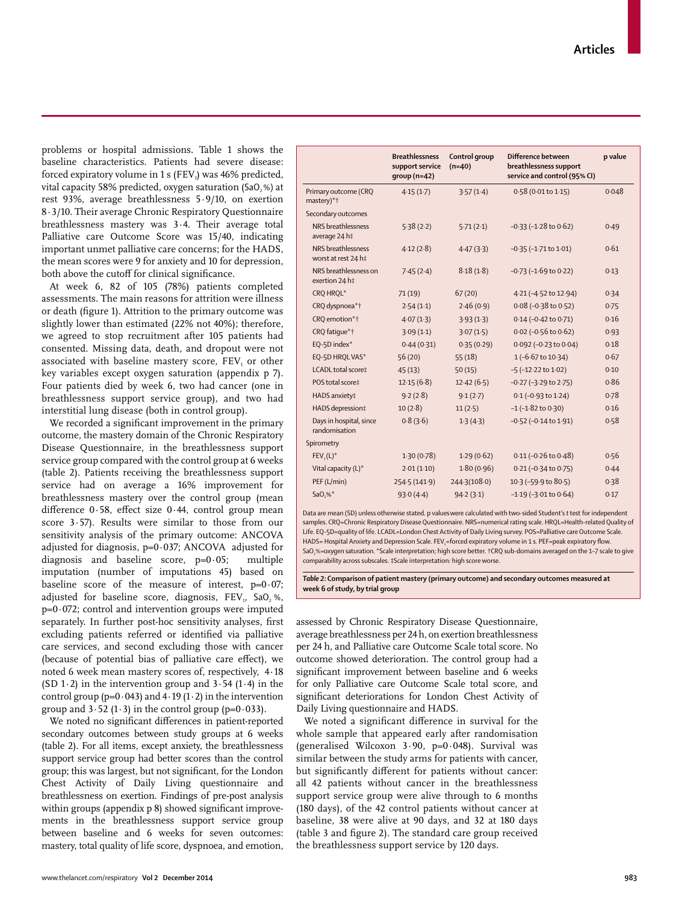problems or hospital admissions. Table 1 shows the baseline characteristics. Patients had severe disease: forced expiratory volume in 1 s (FEV<sub>1</sub>) was  $46\%$  predicted, vital capacity 58% predicted, oxygen saturation (SaO,%) at rest 93%, average breathlessness 5∙9/10, on exertion 8∙3/10. Their average Chronic Respiratory Questionnaire breathlessness mastery was 3∙4. Their average total Palliative care Outcome Score was 15/40, indicating important unmet palliative care concerns; for the HADS, the mean scores were 9 for anxiety and 10 for depression, both above the cutoff for clinical significance.

At week 6, 82 of 105 (78%) patients completed assessments. The main reasons for attrition were illness or death (figure 1). Attrition to the primary outcome was slightly lower than estimated (22% not 40%); therefore, we agreed to stop recruitment after 105 patients had consented. Missing data, death, and dropout were not associated with baseline mastery score, FEV<sub>1</sub> or other key variables except oxygen saturation (appendix p 7). Four patients died by week 6, two had cancer (one in breathlessness support service group), and two had interstitial lung disease (both in control group).

We recorded a significant improvement in the primary outcome, the mastery domain of the Chronic Respiratory Disease Questionnaire, in the breathlessness support service group compared with the control group at 6 weeks (table 2). Patients receiving the breathlessness support service had on average a 16% improvement for breathlessness mastery over the control group (mean difference  $0.58$ , effect size  $0.44$ , control group mean score 3·57). Results were similar to those from our sensitivity analysis of the primary outcome: ANCOVA adjusted for diagnosis, p=0∙037; ANCOVA adjusted for diagnosis and baseline score, p=0∙05; multiple imputation (number of imputations 45) based on baseline score of the measure of interest, p=0∙07; adjusted for baseline score, diagnosis,  $FEV<sub>1</sub>$ , SaO<sub>2</sub>%, p=0∙072; control and intervention groups were imputed separately. In further post-hoc sensitivity analyses, first excluding patients referred or identified via palliative care services, and second excluding those with cancer (because of potential bias of palliative care effect), we noted 6 week mean mastery scores of, respectively, 4·18 (SD 1 $\cdot$ 2) in the intervention group and 3 $\cdot$  54 (1 $\cdot$ 4) in the control group ( $p=0.043$ ) and  $4.19(1.2)$  in the intervention group and  $3.52$  (1.3) in the control group (p= $0.033$ ).

We noted no significant differences in patient-reported secondary outcomes between study groups at 6 weeks (table 2). For all items, except anxiety, the breathlessness support service group had better scores than the control group; this was largest, but not significant, for the London Chest Activity of Daily Living questionnaire and breathlessness on exertion. Findings of pre-post analysis within groups (appendix p 8) showed significant improvements in the breathlessness support service group between baseline and 6 weeks for seven outcomes: mastery, total quality of life score, dyspnoea, and emotion,

|                                           | <b>Breathlessness</b><br>support service<br>$qroup (n=42)$ | Control group<br>$(n=40)$ | Difference between<br>breathlessness support<br>service and control (95% CI) | p value |
|-------------------------------------------|------------------------------------------------------------|---------------------------|------------------------------------------------------------------------------|---------|
| Primary outcome (CRQ<br>mastery)*†        | 4.15(1.7)                                                  | 3.57(1.4)                 | $0.58$ (0.01 to 1.15)                                                        | 0.048   |
| Secondary outcomes                        |                                                            |                           |                                                                              |         |
| NRS breathlessness<br>average 24 h‡       | 5.38(2.2)                                                  | 5.71(2.1)                 | $-0.33$ ( $-1.28$ to $0.62$ )                                                | 0.49    |
| NRS breathlessness<br>worst at rest 24 h‡ | 4.12(2.8)                                                  | 4.47(3.3)                 | $-0.35$ ( $-1.71$ to $1.01$ )                                                | 0.61    |
| NRS breathlessness on<br>exertion 24 h‡   | 7.45(2.4)                                                  | 8.18(1.8)                 | $-0.73$ ( $-1.69$ to 0.22)                                                   | 0.13    |
| CRO HROL*                                 | 71(19)                                                     | 67(20)                    | 4.21 (-4.52 to 12.94)                                                        | 0.34    |
| CRQ dyspnoea*+                            | 2.54(1.1)                                                  | 2.46(0.9)                 | 0.08 (-0.38 to 0.52)                                                         | 0.75    |
| CRO emotion*†                             | 4.07(1.3)                                                  | 3.93(1.3)                 | $0.14 (-0.42 \text{ to } 0.71)$                                              | 0.16    |
| CRO fatique*†                             | 3.09(1.1)                                                  | 3.07(1.5)                 | $0.02$ (-0.56 to $0.62$ )                                                    | 0.93    |
| EQ-5D index*                              | 0.44(0.31)                                                 | 0.35(0.29)                | 0.092 (-0.23 to 0.04)                                                        | 0.18    |
| EQ-5D HROL VAS*                           | 56(20)                                                     | 55(18)                    | $1(-6.67 \text{ to } 10.34)$                                                 | 0.67    |
| LCADL total score‡                        | 45(13)                                                     | 50(15)                    | $-5$ ( $-12.22$ to $1.02$ )                                                  | 0.10    |
| POS total score‡                          | 12.15(6.8)                                                 | 12.42(6.5)                | $-0.27$ ( $-3.29$ to 2.75)                                                   | 0.86    |
| HADS anxiety#                             | 9.2(2.8)                                                   | 9.1(2.7)                  | $0.1$ (-0.93 to 1.24)                                                        | 0.78    |
| HADS depression#                          | 10(2.8)                                                    | 11(2.5)                   | $-1$ ( $-1.82$ to 0.30)                                                      | 0.16    |
| Days in hospital, since<br>randomisation  | 0.8(3.6)                                                   | 1.3(4.3)                  | $-0.52$ ( $-0.14$ to $1.91$ )                                                | 0.58    |
| Spirometry                                |                                                            |                           |                                                                              |         |
| $FEV1(L)*$                                | 1.30(0.78)                                                 | 1.29(0.62)                | $0.11$ (-0.26 to 0.48)                                                       | 0.56    |
| Vital capacity (L)*                       | 2.01(1.10)                                                 | 1.80(0.96)                | $0.21 (-0.34 to 0.75)$                                                       | 0.44    |
| PEF (L/min)                               | 254.5 (141.9)                                              | 244.3(108.0)              | 10.3 (-59.9 to 80.5)                                                         | 0.38    |
| $SaO,$ %*                                 | 93.0(4.4)                                                  | 94.2(3.1)                 | $-1.19$ ( $-3.01$ to $0.64$ )                                                | 0.17    |

Data are mean (SD) unless otherwise stated. p valueswere calculated with two-sided Student's *t* test for independent samples. CRQ=Chronic Respiratory Disease Questionnaire. NRS=numerical rating scale. HRQL=Health-related Quality of Life. EQ-5D=quality of life. LCADL=London Chest Activity of Daily Living survey. POS=Palliative care Outcome Scale. HADS= Hospital Anxiety and Depression Scale. FEV<sub>1</sub>=forced expiratory volume in 1 s. PEF=peak expiratory flow. SaO,%=oxygen saturation. \*Scale interpretation; high score better. †CRQ sub-domains averaged on the 1-7 scale to give comparability across subscales. ‡Scale interpretation: high score worse.

*Table 2:* **Comparison of patient mastery (primary outcome) and secondary outcomes measured at week 6 of study, by trial group**

assessed by Chronic Respiratory Disease Questionnaire, average breathlessness per 24 h, on exertion breathlessness per 24 h, and Palliative care Outcome Scale total score. No outcome showed deterioration. The control group had a significant improvement between baseline and 6 weeks for only Palliative care Outcome Scale total score, and significant deteriorations for London Chest Activity of Daily Living questionnaire and HADS.

We noted a significant difference in survival for the whole sample that appeared early after randomisation (generalised Wilcoxon 3·90, p=0∙048). Survival was similar between the study arms for patients with cancer, but significantly different for patients without cancer: all 42 patients without cancer in the breathlessness support service group were alive through to 6 months (180 days), of the 42 control patients without cancer at baseline, 38 were alive at 90 days, and 32 at 180 days (table 3 and figure 2). The standard care group received the breathlessness support service by 120 days.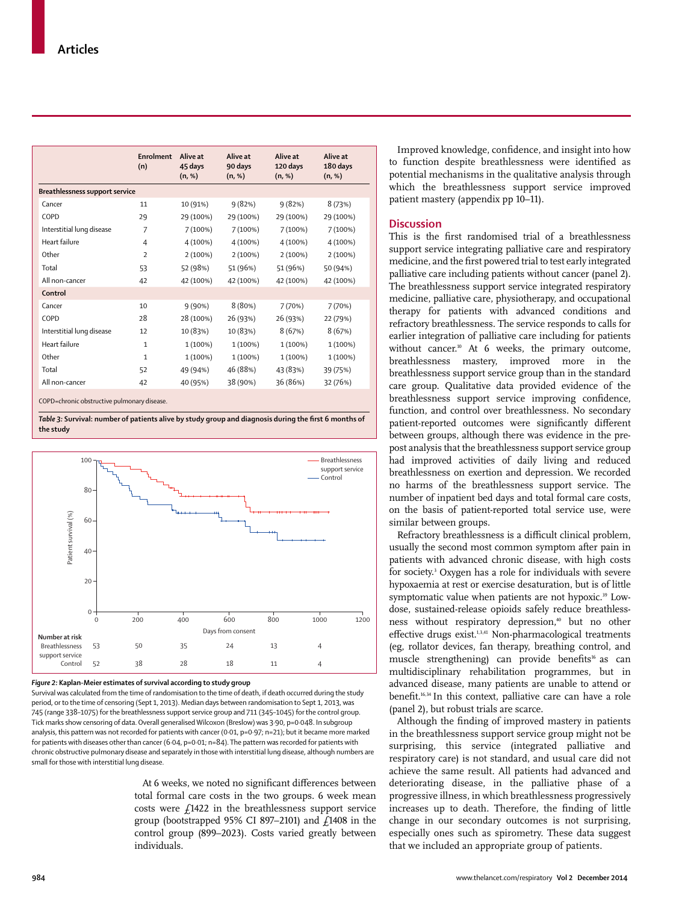|                                       | Enrolment<br>(n) | Alive at<br>45 days<br>(n, %) | Alive at<br>90 days<br>(n, %) | Alive at<br>120 days<br>(n, %) | Alive at<br>180 days<br>(n, %) |  |  |
|---------------------------------------|------------------|-------------------------------|-------------------------------|--------------------------------|--------------------------------|--|--|
| <b>Breathlessness support service</b> |                  |                               |                               |                                |                                |  |  |
| Cancer                                | 11               | 10 (91%)                      | 9(82%)                        | 9(82%)                         | 8(73%)                         |  |  |
| COPD                                  | 29               | 29 (100%)                     | 29 (100%)                     | 29 (100%)                      | 29 (100%)                      |  |  |
| Interstitial lung disease             | $\overline{7}$   | 7(100%)                       | 7(100%)                       | 7(100%)                        | 7 (100%)                       |  |  |
| Heart failure                         | $\overline{4}$   | 4 (100%)                      | 4 (100%)                      | 4 (100%)                       | 4 (100%)                       |  |  |
| Other                                 | $\overline{2}$   | 2(100%)                       | 2(100%)                       | $2(100\%)$                     | 2 (100%)                       |  |  |
| Total                                 | 53               | 52 (98%)                      | 51 (96%)                      | 51 (96%)                       | 50 (94%)                       |  |  |
| All non-cancer                        | 42               | 42 (100%)                     | 42 (100%)                     | 42 (100%)                      | 42 (100%)                      |  |  |
| Control                               |                  |                               |                               |                                |                                |  |  |
| Cancer                                | 10               | 9(90%)                        | 8(80%)                        | 7 (70%)                        | 7 (70%)                        |  |  |
| COPD                                  | 28               | 28 (100%)                     | 26 (93%)                      | 26 (93%)                       | 22 (79%)                       |  |  |
| Interstitial lung disease             | 12               | 10 (83%)                      | 10 (83%)                      | 8(67%)                         | 8(67%)                         |  |  |
| Heart failure                         | 1                | 1 (100%)                      | 1 (100%)                      | 1 (100%)                       | 1 (100%)                       |  |  |
| Other                                 | $\mathbf{1}$     | 1 (100%)                      | 1(100%)                       | 1 (100%)                       | 1 (100%)                       |  |  |
| Total                                 | 52               | 49 (94%)                      | 46 (88%)                      | 43 (83%)                       | 39 (75%)                       |  |  |
| All non-cancer                        | 42               | 40 (95%)                      | 38 (90%)                      | 36 (86%)                       | 32 (76%)                       |  |  |
|                                       |                  |                               |                               |                                |                                |  |  |

COPD=chronic obstructive pulmonary disease.

Table 3: Survival: number of patients alive by study group and diagnosis during the first 6 months of **the study**



## *Figure 2:* **Kaplan-Meier estimates of survival according to study group**

Survival was calculated from the time of randomisation to the time of death, if death occurred during the study period, or to the time of censoring (Sept 1, 2013). Median days between randomisation to Sept 1, 2013, was 745 (range 338–1075) for the breathlessness support service group and 711 (345–1045) for the control group. Tick marks show censoring of data. Overall generalised Wilcoxon (Breslow) was 3·90, p=0·048. In subgroup analysis, this pattern was not recorded for patients with cancer (0·01, p=0·97; n=21); but it became more marked for patients with diseases other than cancer (6·04, p=0·01; n=84). The pattern was recorded for patients with chronic obstructive pulmonary disease and separately in those with interstitial lung disease, although numbers are small for those with interstitial lung disease.

> At 6 weeks, we noted no significant differences between total formal care costs in the two groups. 6 week mean costs were  $f_1$ 1422 in the breathlessness support service group (bootstrapped 95% CI 897–2101) and  $f$ 1408 in the control group (899–2023). Costs varied greatly between individuals.

Improved knowledge, confidence, and insight into how to function despite breathlessness were identified as potential mechanisms in the qualitative analysis through which the breathlessness support service improved patient mastery (appendix pp 10–11).

# **Discussion**

This is the first randomised trial of a breathlessness support service integrating palliative care and respiratory medicine, and the first powered trial to test early integrated palliative care including patients without cancer (panel 2). The breathlessness support service integrated respiratory medicine, palliative care, physiotherapy, and occupational therapy for patients with advanced conditions and refractory breathlessness. The service responds to calls for earlier integration of palliative care including for patients without cancer.<sup>10</sup> At 6 weeks, the primary outcome, breathlessness mastery, improved more in the breathlessness support service group than in the standard care group. Qualitative data provided evidence of the breathlessness support service improving confidence, function, and control over breathlessness. No secondary patient-reported outcomes were significantly different between groups, although there was evidence in the prepost analysis that the breathlessness support service group had improved activities of daily living and reduced breathlessness on exertion and depression. We recorded no harms of the breathlessness support service. The number of inpatient bed days and total formal care costs, on the basis of patient-reported total service use, were similar between groups.

Refractory breathlessness is a difficult clinical problem, usually the second most common symptom after pain in patients with advanced chronic disease, with high costs for society.3 Oxygen has a role for individuals with severe hypoxaemia at rest or exercise desaturation, but is of little symptomatic value when patients are not hypoxic.<sup>39</sup> Lowdose, sustained-release opioids safely reduce breathlessness without respiratory depression,<sup>40</sup> but no other effective drugs exist.<sup>1,3,41</sup> Non-pharmacological treatments (eg, rollator devices, fan therapy, breathing control, and muscle strengthening) can provide benefits<sup>16</sup> as can multidisciplinary rehabilitation programmes, but in advanced disease, many patients are unable to attend or benefit.<sup>16,34</sup> In this context, palliative care can have a role (panel 2), but robust trials are scarce.

Although the finding of improved mastery in patients in the breathlessness support service group might not be surprising, this service (integrated palliative and respiratory care) is not standard, and usual care did not achieve the same result. All patients had advanced and deteriorating disease, in the palliative phase of a progressive illness, in which breathlessness progressively increases up to death. Therefore, the finding of little change in our secondary outcomes is not surprising, especially ones such as spirometry. These data suggest that we included an appropriate group of patients.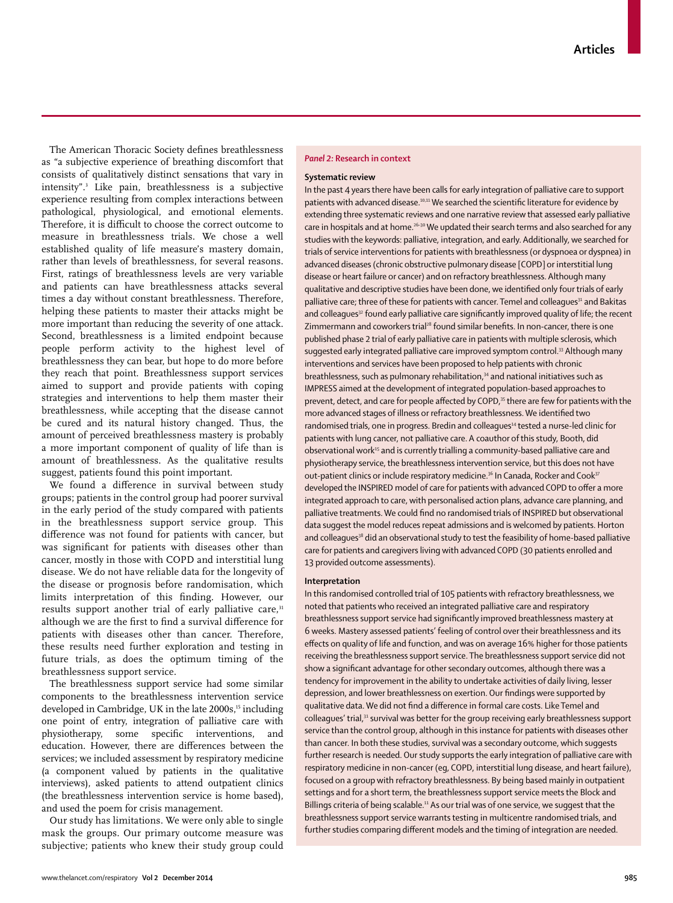The American Thoracic Society defines breathlessness as "a subjective experience of breathing discomfort that consists of qualitatively distinct sensations that vary in intensity".3 Like pain, breathlessness is a subjective experience resulting from complex interactions between pathological, physiological, and emotional elements. Therefore, it is difficult to choose the correct outcome to measure in breathlessness trials. We chose a well established quality of life measure's mastery domain, rather than levels of breathlessness, for several reasons. First, ratings of breathlessness levels are very variable and patients can have breathlessness attacks several times a day without constant breathlessness. Therefore, helping these patients to master their attacks might be more important than reducing the severity of one attack. Second, breathlessness is a limited endpoint because people perform activity to the highest level of breathlessness they can bear, but hope to do more before they reach that point. Breathlessness support services aimed to support and provide patients with coping strategies and interventions to help them master their breathlessness, while accepting that the disease cannot be cured and its natural history changed. Thus, the amount of perceived breathlessness mastery is probably a more important component of quality of life than is amount of breathlessness. As the qualitative results suggest, patients found this point important.

We found a difference in survival between study groups; patients in the control group had poorer survival in the early period of the study compared with patients in the breathlessness support service group. This difference was not found for patients with cancer, but was significant for patients with diseases other than cancer, mostly in those with COPD and interstitial lung disease. We do not have reliable data for the longevity of the disease or prognosis before randomisation, which limits interpretation of this finding. However, our results support another trial of early palliative care,<sup>31</sup> although we are the first to find a survival difference for patients with diseases other than cancer. Therefore, these results need further exploration and testing in future trials, as does the optimum timing of the breathlessness support service.

The breathlessness support service had some similar components to the breathlessness intervention service developed in Cambridge, UK in the late 2000s,<sup>15</sup> including one point of entry, integration of palliative care with physiotherapy, some specific interventions, and education. However, there are differences between the services; we included assessment by respiratory medicine (a component valued by patients in the qualitative interviews), asked patients to attend outpatient clinics (the breathlessness intervention service is home based), and used the poem for crisis management.

Our study has limitations. We were only able to single mask the groups. Our primary outcome measure was subjective; patients who knew their study group could

# **Systematic review**

In the past 4 years there have been calls for early integration of palliative care to support patients with advanced disease.<sup>10,11</sup> We searched the scientific literature for evidence by extending three systematic reviews and one narrative review that assessed early palliative care in hospitals and at home.<sup>26-30</sup> We updated their search terms and also searched for any studies with the keywords: palliative, integration, and early. Additionally, we searched for trials of service interventions for patients with breathlessness (or dyspnoea or dyspnea) in advanced diseases (chronic obstructive pulmonary disease [COPD] or interstitial lung disease or heart failure or cancer) and on refractory breathlessness. Although many qualitative and descriptive studies have been done, we identified only four trials of early palliative care; three of these for patients with cancer. Temel and colleagues<sup>31</sup> and Bakitas and colleagues<sup>32</sup> found early palliative care significantly improved quality of life; the recent Zimmermann and coworkers trial<sup>28</sup> found similar benefits. In non-cancer, there is one published phase 2 trial of early palliative care in patients with multiple sclerosis, which suggested early integrated palliative care improved symptom control.<sup>33</sup> Although many interventions and services have been proposed to help patients with chronic breathlessness, such as pulmonary rehabilitation,<sup>34</sup> and national initiatives such as IMPRESS aimed at the development of integrated population-based approaches to prevent, detect, and care for people affected by COPD,<sup>35</sup> there are few for patients with the more advanced stages of illness or refractory breathlessness. We identified two randomised trials, one in progress. Bredin and colleagues<sup>14</sup> tested a nurse-led clinic for patients with lung cancer, not palliative care. A coauthor of this study, Booth, did observational work<sup>15</sup> and is currently trialling a community-based palliative care and physiotherapy service, the breathlessness intervention service, but this does not have out-patient clinics or include respiratory medicine.<sup>36</sup> In Canada, Rocker and Cook<sup>37</sup> developed the INSPIRED model of care for patients with advanced COPD to offer a more integrated approach to care, with personalised action plans, advance care planning, and palliative treatments. We could find no randomised trials of INSPIRED but observational data suggest the model reduces repeat admissions and is welcomed by patients. Horton and colleagues<sup>38</sup> did an observational study to test the feasibility of home-based palliative care for patients and caregivers living with advanced COPD (30 patients enrolled and 13 provided outcome assessments).

## **Interpretation**

In this randomised controlled trial of 105 patients with refractory breathlessness, we noted that patients who received an integrated palliative care and respiratory breathlessness support service had significantly improved breathlessness mastery at 6 weeks. Mastery assessed patients' feeling of control over their breathlessness and its effects on quality of life and function, and was on average 16% higher for those patients receiving the breathlessness support service. The breathlessness support service did not show a significant advantage for other secondary outcomes, although there was a tendency for improvement in the ability to undertake activities of daily living, lesser depression, and lower breathlessness on exertion. Our findings were supported by qualitative data. We did not find a difference in formal care costs. Like Temel and colleagues' trial,<sup>31</sup> survival was better for the group receiving early breathlessness support service than the control group, although in this instance for patients with diseases other than cancer. In both these studies, survival was a secondary outcome, which suggests further research is needed. Our study supports the early integration of palliative care with respiratory medicine in non-cancer (eg, COPD, interstitial lung disease, and heart failure), focused on a group with refractory breathlessness. By being based mainly in outpatient settings and for a short term, the breathlessness support service meets the Block and Billings criteria of being scalable.<sup>11</sup> As our trial was of one service, we suggest that the breathlessness support service warrants testing in multicentre randomised trials, and further studies comparing different models and the timing of integration are needed.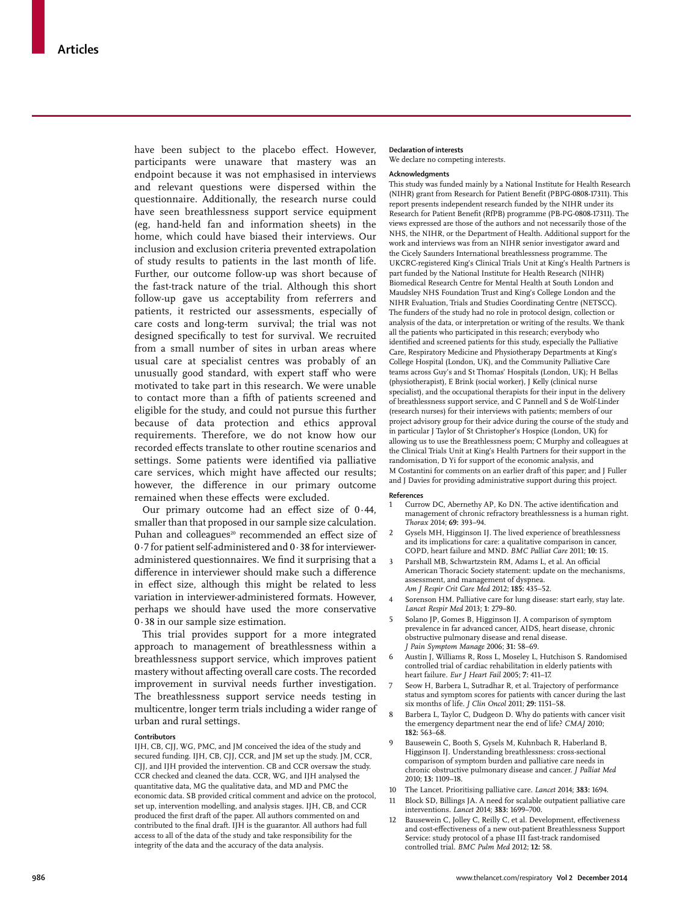have been subject to the placebo effect. However, participants were unaware that mastery was an endpoint because it was not emphasised in interviews and relevant questions were dispersed within the questionnaire. Additionally, the research nurse could have seen breathlessness support service equipment (eg, hand-held fan and information sheets) in the home, which could have biased their interviews. Our inclusion and exclusion criteria prevented extrapolation of study results to patients in the last month of life. Further, our outcome follow-up was short because of the fast-track nature of the trial. Although this short follow-up gave us acceptability from referrers and patients, it restricted our assessments, especially of care costs and long-term survival; the trial was not designed specifically to test for survival. We recruited from a small number of sites in urban areas where usual care at specialist centres was probably of an unusually good standard, with expert staff who were motivated to take part in this research. We were unable to contact more than a fifth of patients screened and eligible for the study, and could not pursue this further because of data protection and ethics approval requirements. Therefore, we do not know how our recorded effects translate to other routine scenarios and settings. Some patients were identified via palliative care services, which might have affected our results; however, the difference in our primary outcome remained when these effects were excluded.

Our primary outcome had an effect size of  $0.44$ , smaller than that proposed in our sample size calculation. Puhan and colleagues<sup>20</sup> recommended an effect size of 0·7 for patient self-administered and 0·38 for intervieweradministered questionnaires. We find it surprising that a difference in interviewer should make such a difference in effect size, although this might be related to less variation in interviewer-administered formats. However, perhaps we should have used the more conservative 0·38 in our sample size estimation.

This trial provides support for a more integrated approach to management of breathlessness within a breathlessness support service, which improves patient mastery without affecting overall care costs. The recorded improvement in survival needs further investigation. The breathlessness support service needs testing in multicentre, longer term trials including a wider range of urban and rural settings.

#### **Contributors**

IJH, CB, CJJ, WG, PMC, and JM conceived the idea of the study and secured funding. IJH, CB, CJJ, CCR, and JM set up the study. JM, CCR, CJJ, and IJH provided the intervention. CB and CCR oversaw the study. CCR checked and cleaned the data. CCR, WG, and IJH analysed the quantitative data, MG the qualitative data, and MD and PMC the economic data. SB provided critical comment and advice on the protocol, set up, intervention modelling, and analysis stages. IJH, CB, and CCR produced the first draft of the paper. All authors commented on and contributed to the final draft. IJH is the guarantor. All authors had full access to all of the data of the study and take responsibility for the integrity of the data and the accuracy of the data analysis.

#### **Declaration of interests**

We declare no competing interests.

### **Acknowledgments**

This study was funded mainly by a National Institute for Health Research (NIHR) grant from Research for Patient Benefit (PBPG-0808-17311). This report presents independent research funded by the NIHR under its Research for Patient Benefit (RfPB) programme (PB-PG-0808-17311). The views expressed are those of the authors and not necessarily those of the NHS, the NIHR, or the Department of Health. Additional support for the work and interviews was from an NIHR senior investigator award and the Cicely Saunders International breathlessness programme. The UKCRC-registered King's Clinical Trials Unit at King's Health Partners is part funded by the National Institute for Health Research (NIHR) <u>.</u><br>Biomedical Research Centre for Mental Health at South London and Maudsley NHS Foundation Trust and King's College London and the NIHR Evaluation, Trials and Studies Coordinating Centre (NETSCC). The funders of the study had no role in protocol design, collection or analysis of the data, or interpretation or writing of the results. We thank all the patients who participated in this research; everybody who identified and screened patients for this study, especially the Palliative Care, Respiratory Medicine and Physiotherapy Departments at King's College Hospital (London, UK), and the Community Palliative Care teams across Guy's and St Thomas' Hospitals (London, UK); H Bellas (physiotherapist), E Brink (social worker), J Kelly (clinical nurse specialist), and the occupational therapists for their input in the delivery of breathlessness support service, and C Pannell and S de Wolf-Linder (research nurses) for their interviews with patients; members of our project advisory group for their advice during the course of the study and in particular J Taylor of St Christopher's Hospice (London, UK) for allowing us to use the Breathlessness poem; C Murphy and colleagues at the Clinical Trials Unit at King's Health Partners for their support in the randomisation, D Yi for support of the economic analysis, and M Costantini for comments on an earlier draft of this paper; and J Fuller and J Davies for providing administrative support during this project.

#### **References**

- Currow DC, Abernethy AP, Ko DN. The active identification and management of chronic refractory breathlessness is a human right. *Thorax* 2014; **69:** 393–94.
- 2 Gysels MH, Higginson IJ. The lived experience of breathlessness and its implications for care: a qualitative comparison in cancer, COPD, heart failure and MND. *BMC Palliat Care* 2011; **10:** 15.
- 3 Parshall MB, Schwartzstein RM, Adams L, et al. An official American Thoracic Society statement: update on the mechanisms, assessment, and management of dyspnea. *Am J Respir Crit Care Med* 2012; **185:** 435–52.
- Sorenson HM. Palliative care for lung disease: start early, stay late. *Lancet Respir Med* 2013; **1**: 279–80.
- 5 Solano JP, Gomes B, Higginson IJ. A comparison of symptom prevalence in far advanced cancer, AIDS, heart disease, chronic obstructive pulmonary disease and renal disease. *J Pain Symptom Manage* 2006; **31:** 58–69.
- 6 Austin J, Williams R, Ross L, Moseley L, Hutchison S. Randomised controlled trial of cardiac rehabilitation in elderly patients with heart failure. *Eur J Heart Fail* 2005; **7:** 411–17.
- Seow H, Barbera L, Sutradhar R, et al. Trajectory of performance status and symptom scores for patients with cancer during the last six months of life. *J Clin Oncol* 2011; **29:** 1151–58.
- 8 Barbera L, Taylor C, Dudgeon D. Why do patients with cancer visit the emergency department near the end of life? *CMAJ* 2010; **182:** 563–68.
- 9 Bausewein C, Booth S, Gysels M, Kuhnbach R, Haberland B, Higginson IJ. Understanding breathlessness: cross-sectional comparison of symptom burden and palliative care needs in chronic obstructive pulmonary disease and cancer. *J Palliat Med* 2010; **13:** 1109–18.
- 10 The Lancet. Prioritising palliative care. *Lancet* 2014; **383:** 1694.
- 11 Block SD, Billings JA. A need for scalable outpatient palliative care interventions. *Lancet* 2014; **383:** 1699–700.
- 12 Bausewein C, Jolley C, Reilly C, et al. Development, effectiveness and cost-effectiveness of a new out-patient Breathlessness Support Service: study protocol of a phase III fast-track randomised controlled trial. *BMC Pulm Med* 2012; **12:** 58.